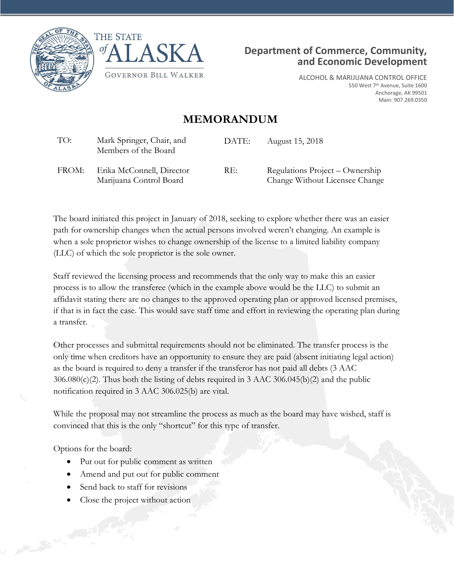





ALCOHOL & MARIJUANA CONTROL OFFICE 550 West 7<sup>th</sup> Avenue, Suite 1600 Anchorage, AK 99501 Main: 907.269.0350

## **MEMORANDUM**

| TO:   | Mark Springer, Chair, and<br>Members of the Board    | DATE: | August 15, 2018                                                   |
|-------|------------------------------------------------------|-------|-------------------------------------------------------------------|
| FROM: | Erika McConnell, Director<br>Marijuana Control Board | RE:   | Regulations Project – Ownership<br>Change Without Licensee Change |

The board initiated this project in January of 2018, seeking to explore whether there was an easier path for ownership changes when the actual persons involved weren't changing. An example is when a sole proprietor wishes to change ownership of the license to a limited liability company (LLC) of which the sole proprietor is the sole owner.

Staff reviewed the licensing process and recommends that the only way to make this an easier process is to allow the transferee (which in the example above would be the LLC) to submit an affidavit stating there are no changes to the approved operating plan or approved licensed premises, if that is in fact the case. This would save staff time and effort in reviewing the operating plan during a transfer.

Other processes and submittal requirements should not be eliminated. The transfer process is the only time when creditors have an opportunity to ensure they are paid (absent initiating legal action) as the board is required to deny a transfer if the transferor has not paid all debts (3 AAC 306.080(c)(2). Thus both the listing of debts required in 3 AAC 306.045(b)(2) and the public notification required in 3 AAC 306.025(b) are vital.

While the proposal may not streamline the process as much as the board may have wished, staff is convinced that this is the only "shortcut" for this type of transfer.

Options for the board:

- Put out for public comment as written
- Amend and put out for public comment
- Send back to staff for revisions
- Close the project without action